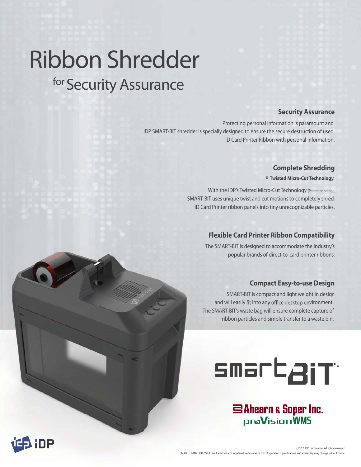# Ribbon Shredder for Security Assurance

## **Security Assurance**

Protecting personal information is paramount and IDP SMART-BIT shredder is specially designed to ensure the secure destruction of used ID Card Printer Ribbon with personal information.

## **Complete Shredding**

 **\* Twisted Micro-Cut Technology** 

With the IDP's Twisted Micro-Cut Technology (Patent pending), SMART-BIT uses unique twist and cut motions to completely shred SMART-BIT uses unique twist and cu ID Card Printer ribbon panels into tiny unrecognizable particles.

## **Flexible Card Printer Ribbon Compatibility Printe**

The SMART-BIT is designed to accommodate the industry's designed t popular brands of direct-to-card printer ribbons.

## **Compact Easy-to-use Design Comp**

SMART-BIT is compact and light weight in design and will easily fit into any office desktop environment. The SMART-BIT's waste bag will ensure complete capture of ribbon particles and simple transfer to a waste bin.



SAhearn & Soper Inc. **praVisionWMS**